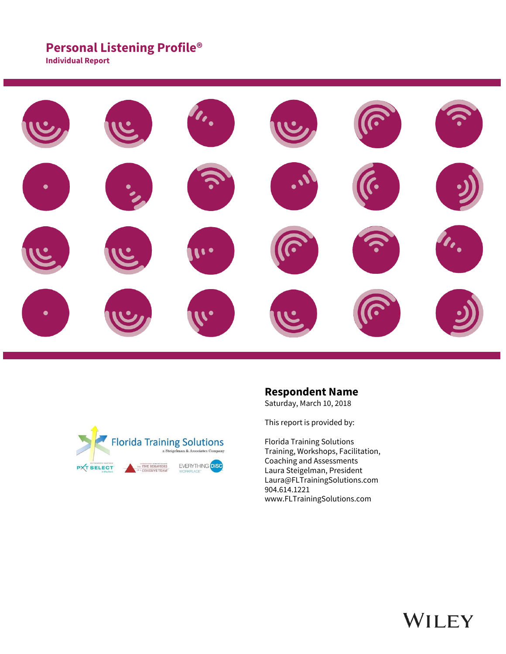## **Personal Listening Profile®**

**Individual Report**





### **Respondent Name**

Saturday, March 10, 2018

This report is provided by:

Florida Training Solutions Training, Workshops, Facilitation, Coaching and Assessments Laura Steigelman, President Laura@FLTrainingSolutions.com 904.614.1221 www.FLTrainingSolutions.com

# WILEY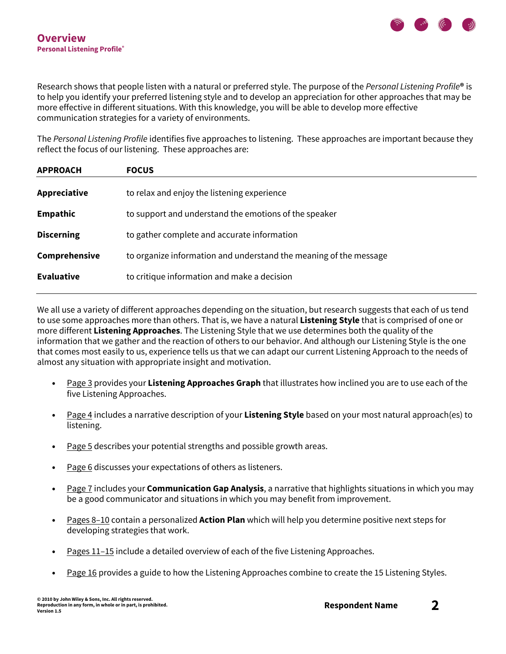

Research shows that people listen with a natural or preferred style. The purpose of the *Personal Listening Profile***®** is to help you identify your preferred listening style and to develop an appreciation for other approaches that may be more effective in different situations. With this knowledge, you will be able to develop more effective communication strategies for a variety of environments.

The *Personal Listening Profile* identifies five approaches to listening. These approaches are important because they reflect the focus of our listening. These approaches are:

| <b>APPROACH</b>   | <b>FOCUS</b>                                                      |
|-------------------|-------------------------------------------------------------------|
| Appreciative      | to relax and enjoy the listening experience                       |
| Empathic          | to support and understand the emotions of the speaker             |
| <b>Discerning</b> | to gather complete and accurate information                       |
| Comprehensive     | to organize information and understand the meaning of the message |
| <b>Evaluative</b> | to critique information and make a decision                       |
|                   |                                                                   |

We all use a variety of different approaches depending on the situation, but research suggests that each of us tend to use some approaches more than others. That is, we have a natural **Listening Style** that is comprised of one or more different **Listening Approaches**. The Listening Style that we use determines both the quality of the information that we gather and the reaction of others to our behavior. And although our Listening Style is the one that comes most easily to us, experience tells us that we can adapt our current Listening Approach to the needs of almost any situation with appropriate insight and motivation.

- Page 3 provides your **Listening Approaches Graph** that illustrates how inclined you are to use each of the five Listening Approaches.
- Page 4 includes a narrative description of your **Listening Style** based on your most natural approach(es) to listening.
- Page 5 describes your potential strengths and possible growth areas.
- Page 6 discusses your expectations of others as listeners.
- Page 7 includes your **Communication Gap Analysis**, a narrative that highlights situations in which you may be a good communicator and situations in which you may benefit from improvement.
- Pages 8–10 contain a personalized **Action Plan** which will help you determine positive next steps for developing strategies that work.
- Pages 11–15 include a detailed overview of each of the five Listening Approaches.
- Page 16 provides a guide to how the Listening Approaches combine to create the 15 Listening Styles.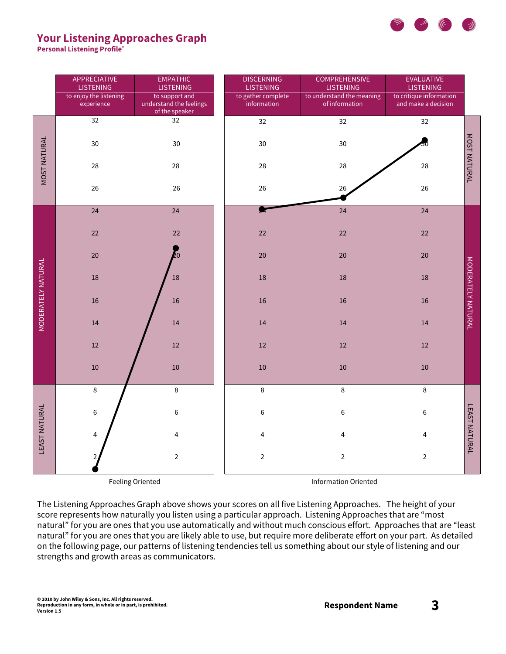

### **Your Listening Approaches Graph**

**Personal Listening Profile®**

|                           | APPRECIATIVE<br><b>LISTENING</b><br>to enjoy the listening<br>experience | <b>EMPATHIC</b><br><b>LISTENING</b><br>to support and<br>understand the feelings<br>of the speaker | <b>DISCERNING</b><br><b>LISTENING</b><br>to gather complete<br>information | <b>COMPREHENSIVE</b><br><b>LISTENING</b><br>to understand the meaning<br>of information | EVALUATIVE<br><b>LISTENING</b><br>to critique information<br>and make a decision |                      |
|---------------------------|--------------------------------------------------------------------------|----------------------------------------------------------------------------------------------------|----------------------------------------------------------------------------|-----------------------------------------------------------------------------------------|----------------------------------------------------------------------------------|----------------------|
|                           | $\overline{32}$                                                          | $\overline{32}$                                                                                    | 32                                                                         | 32                                                                                      | 32                                                                               |                      |
| <b>MOST NATURAL</b>       | 30                                                                       | 30                                                                                                 | 30                                                                         | 30                                                                                      |                                                                                  | MOST NATURAL         |
|                           | 28                                                                       | 28                                                                                                 | 28                                                                         | 28                                                                                      | 28                                                                               |                      |
|                           | 26                                                                       | 26                                                                                                 | 26                                                                         | 26                                                                                      | 26                                                                               |                      |
|                           | 24                                                                       | 24                                                                                                 | ×                                                                          | 24                                                                                      | 24                                                                               |                      |
|                           | $22\,$                                                                   | 22                                                                                                 | 22                                                                         | 22                                                                                      | $22$                                                                             |                      |
|                           | $20\,$                                                                   | 20                                                                                                 | 20                                                                         | 20                                                                                      | 20                                                                               |                      |
| <b>MODERATELY NATURAL</b> | 18                                                                       | 18                                                                                                 | 18                                                                         | 18                                                                                      | 18                                                                               | MODERATELY NATURAL   |
|                           | 16                                                                       | 16                                                                                                 | 16                                                                         | 16                                                                                      | 16                                                                               |                      |
|                           | 14                                                                       | 14                                                                                                 | 14                                                                         | 14                                                                                      | $14\,$                                                                           |                      |
|                           | $12\,$                                                                   | 12                                                                                                 | 12                                                                         | 12                                                                                      | $12\,$                                                                           |                      |
|                           | 10                                                                       | 10                                                                                                 | 10                                                                         | 10                                                                                      | $10\,$                                                                           |                      |
| <b>LEAST NATURAL</b>      | $\,8\,$                                                                  | $\,8\,$                                                                                            | $\,8\,$                                                                    | $\,8\,$                                                                                 | $\,8\,$                                                                          |                      |
|                           | 6                                                                        | 6                                                                                                  | $\,6$                                                                      | $\,$ 6 $\,$                                                                             | $\,$ 6                                                                           | <b>LEAST NATURAL</b> |
|                           | 4                                                                        | 4                                                                                                  | 4                                                                          | 4                                                                                       | 4                                                                                |                      |
|                           |                                                                          | $\overline{2}$                                                                                     | $\overline{2}$                                                             | $\overline{2}$                                                                          | $\overline{2}$                                                                   |                      |
| Feeling Oriented          |                                                                          |                                                                                                    |                                                                            | <b>Information Oriented</b>                                                             |                                                                                  |                      |

The Listening Approaches Graph above shows your scores on all five Listening Approaches. The height of your score represents how naturally you listen using a particular approach. Listening Approaches that are "most natural" for you are ones that you use automatically and without much conscious effort. Approaches that are "least natural" for you are ones that you are likely able to use, but require more deliberate effort on your part. As detailed on the following page, our patterns of listening tendencies tell us something about our style of listening and our strengths and growth areas as communicators.

**© 2010 by John Wiley & Sons, Inc. All rights reserved. Reproduction in any form, in whole or in part, is prohibited. Version 1.5**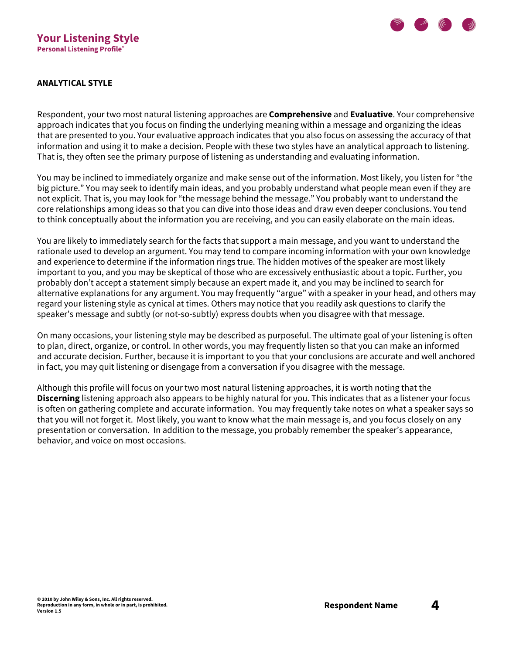

### **ANALYTICAL STYLE**

Respondent, your two most natural listening approaches are **Comprehensive** and **Evaluative**. Your comprehensive approach indicates that you focus on finding the underlying meaning within a message and organizing the ideas that are presented to you. Your evaluative approach indicates that you also focus on assessing the accuracy of that information and using it to make a decision. People with these two styles have an analytical approach to listening. That is, they often see the primary purpose of listening as understanding and evaluating information.

You may be inclined to immediately organize and make sense out of the information. Most likely, you listen for "the big picture." You may seek to identify main ideas, and you probably understand what people mean even if they are not explicit. That is, you may look for "the message behind the message." You probably want to understand the core relationships among ideas so that you can dive into those ideas and draw even deeper conclusions. You tend to think conceptually about the information you are receiving, and you can easily elaborate on the main ideas.

You are likely to immediately search for the facts that support a main message, and you want to understand the rationale used to develop an argument. You may tend to compare incoming information with your own knowledge and experience to determine if the information rings true. The hidden motives of the speaker are most likely important to you, and you may be skeptical of those who are excessively enthusiastic about a topic. Further, you probably don't accept a statement simply because an expert made it, and you may be inclined to search for alternative explanations for any argument. You may frequently "argue" with a speaker in your head, and others may regard your listening style as cynical at times. Others may notice that you readily ask questions to clarify the speaker's message and subtly (or not-so-subtly) express doubts when you disagree with that message.

On many occasions, your listening style may be described as purposeful. The ultimate goal of your listening is often to plan, direct, organize, or control. In other words, you may frequently listen so that you can make an informed and accurate decision. Further, because it is important to you that your conclusions are accurate and well anchored in fact, you may quit listening or disengage from a conversation if you disagree with the message.

Although this profile will focus on your two most natural listening approaches, it is worth noting that the **Discerning** listening approach also appears to be highly natural for you. This indicates that as a listener your focus is often on gathering complete and accurate information. You may frequently take notes on what a speaker says so that you will not forget it. Most likely, you want to know what the main message is, and you focus closely on any presentation or conversation. In addition to the message, you probably remember the speaker's appearance, behavior, and voice on most occasions.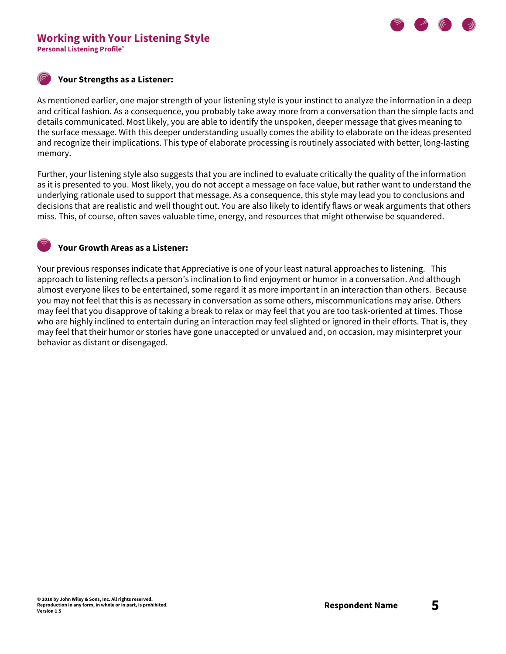# **Working with Your Listening Style**

**Personal Listening Profile®**

### **Your Strengths as a Listener:**

As mentioned earlier, one major strength of your listening style is your instinct to analyze the information in a deep and critical fashion. As a consequence, you probably take away more from a conversation than the simple facts and details communicated. Most likely, you are able to identify the unspoken, deeper message that gives meaning to the surface message. With this deeper understanding usually comes the ability to elaborate on the ideas presented and recognize their implications. This type of elaborate processing is routinely associated with better, long-lasting memory.

Further, your listening style also suggests that you are inclined to evaluate critically the quality of the information as it is presented to you. Most likely, you do not accept a message on face value, but rather want to understand the underlying rationale used to support that message. As a consequence, this style may lead you to conclusions and decisions that are realistic and well thought out. You are also likely to identify flaws or weak arguments that others miss. This, of course, often saves valuable time, energy, and resources that might otherwise be squandered.

### **Your Growth Areas as a Listener:**

Your previous responses indicate that Appreciative is one of your least natural approaches to listening. This approach to listening reflects a person's inclination to find enjoyment or humor in a conversation. And although almost everyone likes to be entertained, some regard it as more important in an interaction than others. Because you may not feel that this is as necessary in conversation as some others, miscommunications may arise. Others may feel that you disapprove of taking a break to relax or may feel that you are too task-oriented at times. Those who are highly inclined to entertain during an interaction may feel slighted or ignored in their efforts. That is, they may feel that their humor or stories have gone unaccepted or unvalued and, on occasion, may misinterpret your behavior as distant or disengaged.

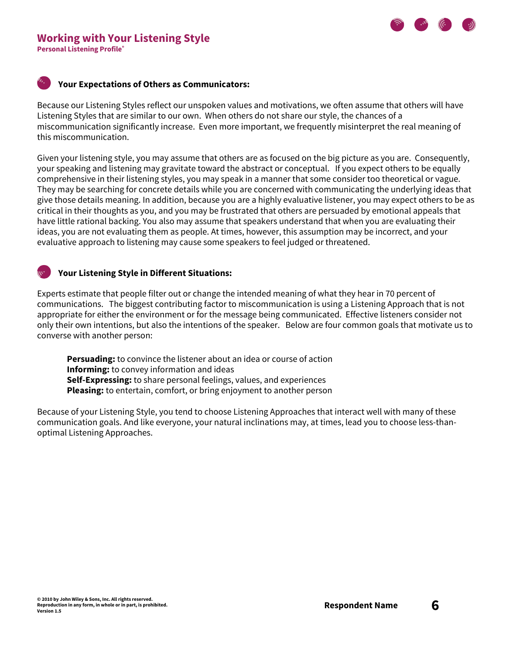



#### **Your Expectations of Others as Communicators:**

Because our Listening Styles reflect our unspoken values and motivations, we often assume that others will have Listening Styles that are similar to our own. When others do not share our style, the chances of a miscommunication significantly increase. Even more important, we frequently misinterpret the real meaning of this miscommunication.

Given your listening style, you may assume that others are as focused on the big picture as you are. Consequently, your speaking and listening may gravitate toward the abstract or conceptual. If you expect others to be equally comprehensive in their listening styles, you may speak in a manner that some consider too theoretical or vague. They may be searching for concrete details while you are concerned with communicating the underlying ideas that give those details meaning. In addition, because you are a highly evaluative listener, you may expect others to be as critical in their thoughts as you, and you may be frustrated that others are persuaded by emotional appeals that have little rational backing. You also may assume that speakers understand that when you are evaluating their ideas, you are not evaluating them as people. At times, however, this assumption may be incorrect, and your evaluative approach to listening may cause some speakers to feel judged or threatened.

#### **Your Listening Style in Different Situations:**

Experts estimate that people filter out or change the intended meaning of what they hear in 70 percent of communications. The biggest contributing factor to miscommunication is using a Listening Approach that is not appropriate for either the environment or for the message being communicated. Effective listeners consider not only their own intentions, but also the intentions of the speaker. Below are four common goals that motivate us to converse with another person:

**Persuading:** to convince the listener about an idea or course of action **Informing:** to convey information and ideas **Self-Expressing:** to share personal feelings, values, and experiences **Pleasing:** to entertain, comfort, or bring enjoyment to another person

Because of your Listening Style, you tend to choose Listening Approaches that interact well with many of these communication goals. And like everyone, your natural inclinations may, at times, lead you to choose less-thanoptimal Listening Approaches.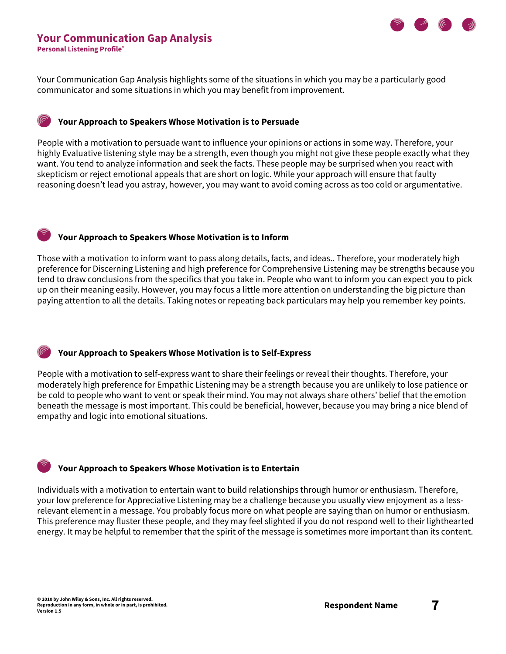

### **Your Communication Gap Analysis**

**Personal Listening Profile®**

Your Communication Gap Analysis highlights some of the situations in which you may be a particularly good communicator and some situations in which you may benefit from improvement.

### **Your Approach to Speakers Whose Motivation is to Persuade**

People with a motivation to persuade want to influence your opinions or actions in some way. Therefore, your highly Evaluative listening style may be a strength, even though you might not give these people exactly what they want. You tend to analyze information and seek the facts. These people may be surprised when you react with skepticism or reject emotional appeals that are short on logic. While your approach will ensure that faulty reasoning doesn't lead you astray, however, you may want to avoid coming across as too cold or argumentative.

### **Your Approach to Speakers Whose Motivation is to Inform**

Those with a motivation to inform want to pass along details, facts, and ideas.. Therefore, your moderately high preference for Discerning Listening and high preference for Comprehensive Listening may be strengths because you tend to draw conclusions from the specifics that you take in. People who want to inform you can expect you to pick up on their meaning easily. However, you may focus a little more attention on understanding the big picture than paying attention to all the details. Taking notes or repeating back particulars may help you remember key points.

### **Your Approach to Speakers Whose Motivation is to Self-Express**

People with a motivation to self-express want to share their feelings or reveal their thoughts. Therefore, your moderately high preference for Empathic Listening may be a strength because you are unlikely to lose patience or be cold to people who want to vent or speak their mind. You may not always share others' belief that the emotion beneath the message is most important. This could be beneficial, however, because you may bring a nice blend of empathy and logic into emotional situations.

### **Your Approach to Speakers Whose Motivation is to Entertain**

Individuals with a motivation to entertain want to build relationships through humor or enthusiasm. Therefore, your low preference for Appreciative Listening may be a challenge because you usually view enjoyment as a lessrelevant element in a message. You probably focus more on what people are saying than on humor or enthusiasm. This preference may fluster these people, and they may feel slighted if you do not respond well to their lighthearted energy. It may be helpful to remember that the spirit of the message is sometimes more important than its content.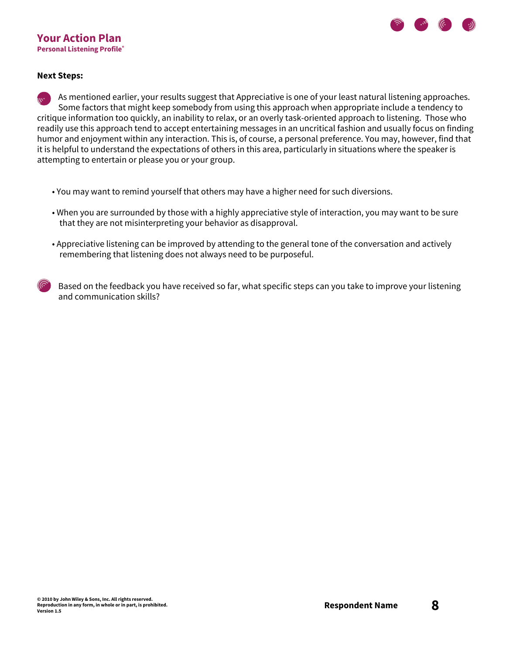### **Your Action Plan Personal Listening Profile®**



#### **Next Steps:**

As mentioned earlier, your results suggest that Appreciative is one of your least natural listening approaches. Some factors that might keep somebody from using this approach when appropriate include a tendency to critique information too quickly, an inability to relax, or an overly task-oriented approach to listening. Those who readily use this approach tend to accept entertaining messages in an uncritical fashion and usually focus on finding humor and enjoyment within any interaction. This is, of course, a personal preference. You may, however, find that it is helpful to understand the expectations of others in this area, particularly in situations where the speaker is attempting to entertain or please you or your group.

- You may want to remind yourself that others may have a higher need for such diversions.
- When you are surrounded by those with a highly appreciative style of interaction, you may want to be sure that they are not misinterpreting your behavior as disapproval.
- Appreciative listening can be improved by attending to the general tone of the conversation and actively remembering that listening does not always need to be purposeful.
- Based on the feedback you have received so far, what specific steps can you take to improve your listening and communication skills?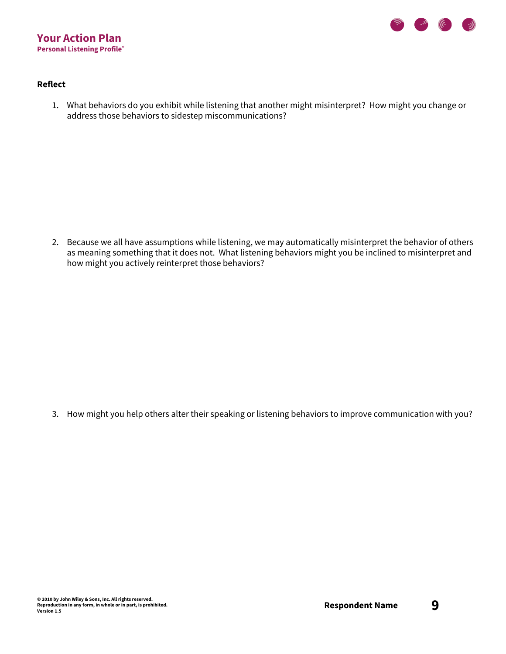

### **Reflect**

1. What behaviors do you exhibit while listening that another might misinterpret? How might you change or address those behaviors to sidestep miscommunications?

2. Because we all have assumptions while listening, we may automatically misinterpret the behavior of others as meaning something that it does not. What listening behaviors might you be inclined to misinterpret and how might you actively reinterpret those behaviors?

3. How might you help others alter their speaking or listening behaviors to improve communication with you?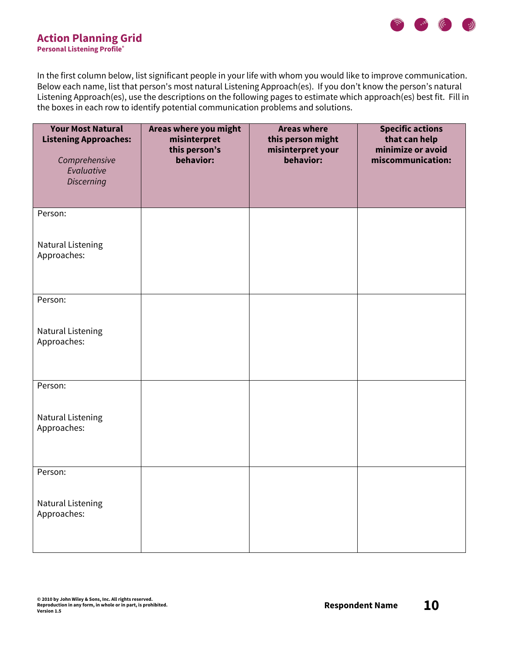

### **Action Planning Grid Personal Listening Profile®**

In the first column below, list significant people in your life with whom you would like to improve communication. Below each name, list that person's most natural Listening Approach(es). If you don't know the person's natural Listening Approach(es), use the descriptions on the following pages to estimate which approach(es) best fit. Fill in the boxes in each row to identify potential communication problems and solutions.

| <b>Your Most Natural</b><br><b>Listening Approaches:</b><br>Comprehensive<br>Evaluative<br><b>Discerning</b> | Areas where you might<br>misinterpret<br>this person's<br>behavior: | <b>Areas where</b><br>this person might<br>misinterpret your<br>behavior: | <b>Specific actions</b><br>that can help<br>minimize or avoid<br>miscommunication: |
|--------------------------------------------------------------------------------------------------------------|---------------------------------------------------------------------|---------------------------------------------------------------------------|------------------------------------------------------------------------------------|
| Person:<br>Natural Listening                                                                                 |                                                                     |                                                                           |                                                                                    |
| Approaches:                                                                                                  |                                                                     |                                                                           |                                                                                    |
| Person:                                                                                                      |                                                                     |                                                                           |                                                                                    |
| <b>Natural Listening</b><br>Approaches:                                                                      |                                                                     |                                                                           |                                                                                    |
| Person:                                                                                                      |                                                                     |                                                                           |                                                                                    |
| <b>Natural Listening</b><br>Approaches:                                                                      |                                                                     |                                                                           |                                                                                    |
| Person:                                                                                                      |                                                                     |                                                                           |                                                                                    |
| Natural Listening<br>Approaches:                                                                             |                                                                     |                                                                           |                                                                                    |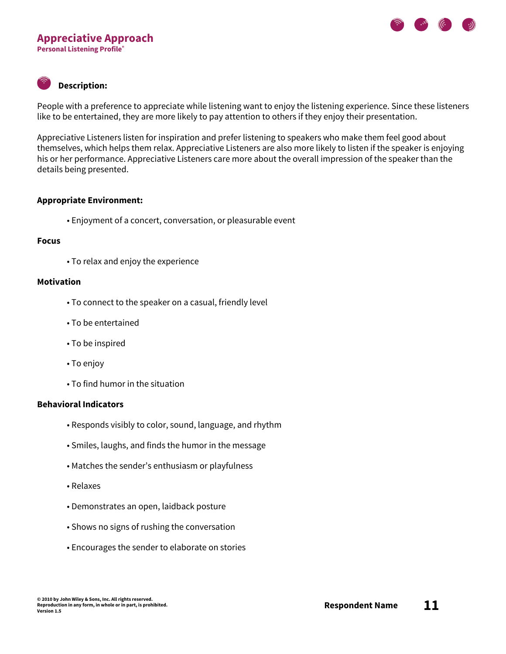### **Appreciative Approach Personal Listening Profile®**

### **Description:**

People with a preference to appreciate while listening want to enjoy the listening experience. Since these listeners like to be entertained, they are more likely to pay attention to others if they enjoy their presentation.

Appreciative Listeners listen for inspiration and prefer listening to speakers who make them feel good about themselves, which helps them relax. Appreciative Listeners are also more likely to listen if the speaker is enjoying his or her performance. Appreciative Listeners care more about the overall impression of the speaker than the details being presented.

### **Appropriate Environment:**

• Enjoyment of a concert, conversation, or pleasurable event

### **Focus**

• To relax and enjoy the experience

### **Motivation**

- To connect to the speaker on a casual, friendly level
- To be entertained
- To be inspired
- To enjoy
- To find humor in the situation

- Responds visibly to color, sound, language, and rhythm
- Smiles, laughs, and finds the humor in the message
- Matches the sender's enthusiasm or playfulness
- Relaxes
- Demonstrates an open, laidback posture
- Shows no signs of rushing the conversation
- Encourages the sender to elaborate on stories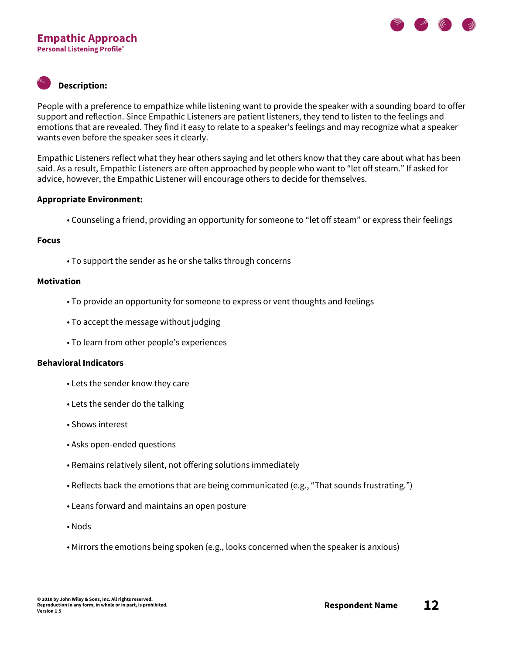

People with a preference to empathize while listening want to provide the speaker with a sounding board to offer support and reflection. Since Empathic Listeners are patient listeners, they tend to listen to the feelings and emotions that are revealed. They find it easy to relate to a speaker's feelings and may recognize what a speaker wants even before the speaker sees it clearly.

Empathic Listeners reflect what they hear others saying and let others know that they care about what has been said. As a result, Empathic Listeners are often approached by people who want to "let off steam." If asked for advice, however, the Empathic Listener will encourage others to decide for themselves.

### **Appropriate Environment:**

• Counseling a friend, providing an opportunity for someone to "let off steam" or express their feelings

### **Focus**

• To support the sender as he or she talks through concerns

### **Motivation**

- To provide an opportunity for someone to express or vent thoughts and feelings
- To accept the message without judging
- To learn from other people's experiences

- Lets the sender know they care
- Lets the sender do the talking
- Shows interest
- Asks open-ended questions
- Remains relatively silent, not offering solutions immediately
- Reflects back the emotions that are being communicated (e.g., "That sounds frustrating.")
- Leans forward and maintains an open posture
- Nods
- Mirrors the emotions being spoken (e.g., looks concerned when the speaker is anxious)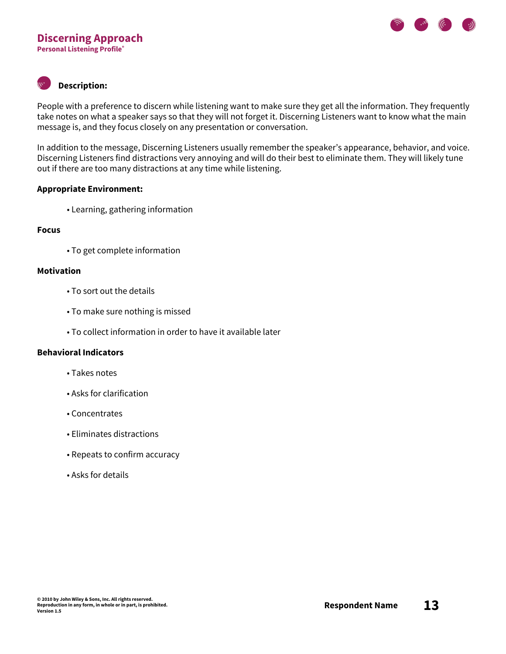

People with a preference to discern while listening want to make sure they get all the information. They frequently take notes on what a speaker says so that they will not forget it. Discerning Listeners want to know what the main message is, and they focus closely on any presentation or conversation.

In addition to the message, Discerning Listeners usually remember the speaker's appearance, behavior, and voice. Discerning Listeners find distractions very annoying and will do their best to eliminate them. They will likely tune out if there are too many distractions at any time while listening.

### **Appropriate Environment:**

• Learning, gathering information

### **Focus**

• To get complete information

### **Motivation**

- To sort out the details
- To make sure nothing is missed
- To collect information in order to have it available later

- Takes notes
- Asks for clarification
- Concentrates
- Eliminates distractions
- Repeats to confirm accuracy
- Asks for details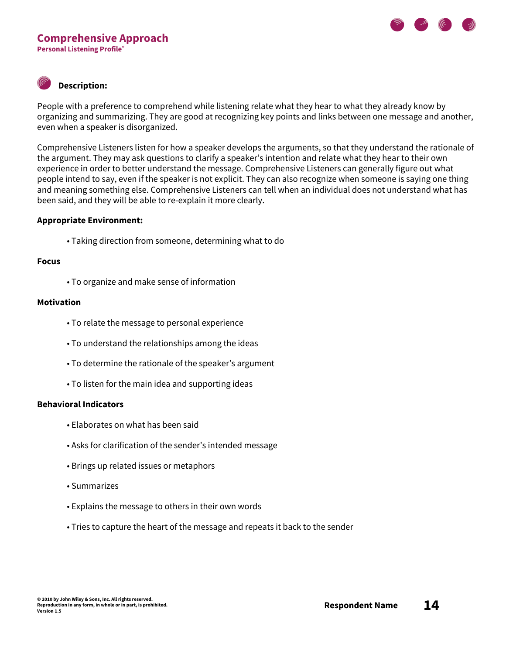

People with a preference to comprehend while listening relate what they hear to what they already know by organizing and summarizing. They are good at recognizing key points and links between one message and another, even when a speaker is disorganized.

Comprehensive Listeners listen for how a speaker develops the arguments, so that they understand the rationale of the argument. They may ask questions to clarify a speaker's intention and relate what they hear to their own experience in order to better understand the message. Comprehensive Listeners can generally figure out what people intend to say, even if the speaker is not explicit. They can also recognize when someone is saying one thing and meaning something else. Comprehensive Listeners can tell when an individual does not understand what has been said, and they will be able to re-explain it more clearly.

### **Appropriate Environment:**

• Taking direction from someone, determining what to do

#### **Focus**

• To organize and make sense of information

### **Motivation**

- To relate the message to personal experience
- To understand the relationships among the ideas
- To determine the rationale of the speaker's argument
- To listen for the main idea and supporting ideas

- Elaborates on what has been said
- Asks for clarification of the sender's intended message
- Brings up related issues or metaphors
- Summarizes
- Explains the message to others in their own words
- Tries to capture the heart of the message and repeats it back to the sender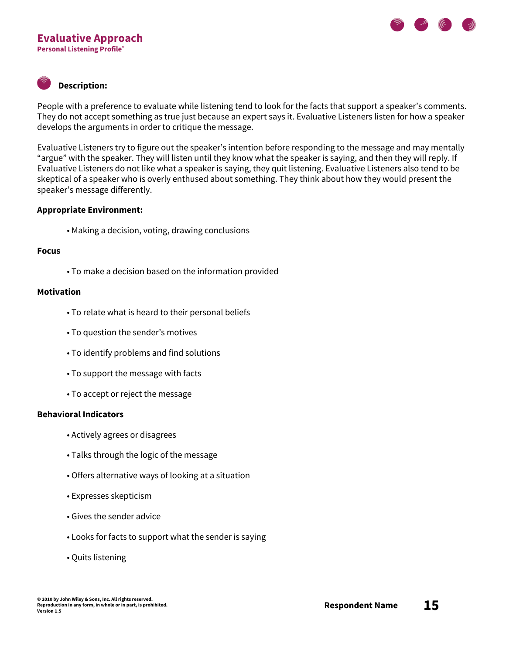

People with a preference to evaluate while listening tend to look for the facts that support a speaker's comments. They do not accept something as true just because an expert says it. Evaluative Listeners listen for how a speaker develops the arguments in order to critique the message.

Evaluative Listeners try to figure out the speaker's intention before responding to the message and may mentally "argue" with the speaker. They will listen until they know what the speaker is saying, and then they will reply. If Evaluative Listeners do not like what a speaker is saying, they quit listening. Evaluative Listeners also tend to be skeptical of a speaker who is overly enthused about something. They think about how they would present the speaker's message differently.

### **Appropriate Environment:**

• Making a decision, voting, drawing conclusions

#### **Focus**

• To make a decision based on the information provided

#### **Motivation**

- To relate what is heard to their personal beliefs
- To question the sender's motives
- To identify problems and find solutions
- To support the message with facts
- To accept or reject the message

- Actively agrees or disagrees
- Talks through the logic of the message
- Offers alternative ways of looking at a situation
- Expresses skepticism
- Gives the sender advice
- Looks for facts to support what the sender is saying
- Quits listening